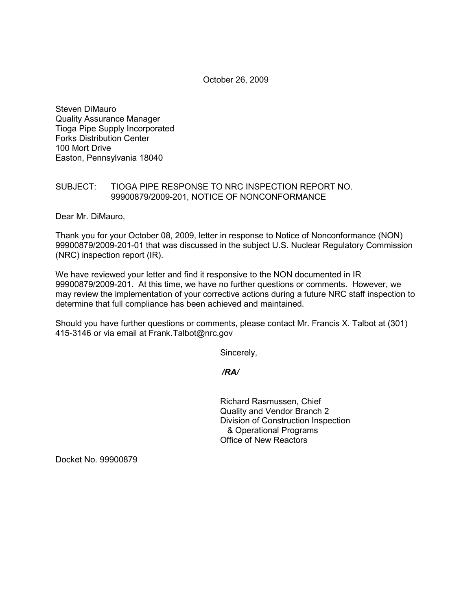October 26, 2009

Steven DiMauro Quality Assurance Manager Tioga Pipe Supply Incorporated Forks Distribution Center 100 Mort Drive Easton, Pennsylvania 18040

# SUBJECT: TIOGA PIPE RESPONSE TO NRC INSPECTION REPORT NO. 99900879/2009-201, NOTICE OF NONCONFORMANCE

Dear Mr. DiMauro,

Thank you for your October 08, 2009, letter in response to Notice of Nonconformance (NON) 99900879/2009-201-01 that was discussed in the subject U.S. Nuclear Regulatory Commission (NRC) inspection report (IR).

We have reviewed your letter and find it responsive to the NON documented in IR 99900879/2009-201. At this time, we have no further questions or comments. However, we may review the implementation of your corrective actions during a future NRC staff inspection to determine that full compliance has been achieved and maintained.

Should you have further questions or comments, please contact Mr. Francis X. Talbot at (301) 415-3146 or via email at Frank.Talbot@nrc.gov

Sincerely,

 */RA/* 

Richard Rasmussen, Chief Quality and Vendor Branch 2 Division of Construction Inspection & Operational Programs Office of New Reactors

Docket No. 99900879